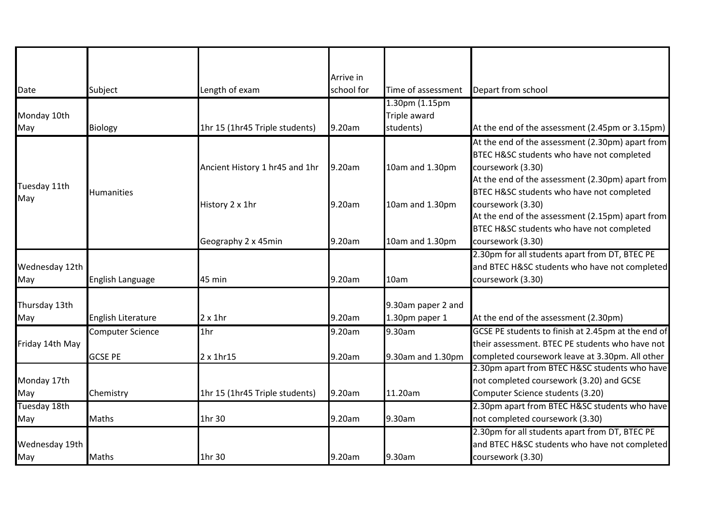|                     |                         |                                | Arrive in  |                    |                                                    |
|---------------------|-------------------------|--------------------------------|------------|--------------------|----------------------------------------------------|
| Date                | Subject                 | Length of exam                 | school for | Time of assessment | Depart from school                                 |
|                     |                         |                                |            | 1.30pm (1.15pm     |                                                    |
| Monday 10th         |                         |                                |            | Triple award       |                                                    |
| May                 | <b>Biology</b>          | 1hr 15 (1hr45 Triple students) | 9.20am     | students)          | At the end of the assessment (2.45pm or 3.15pm)    |
| Tuesday 11th<br>May | <b>Humanities</b>       |                                |            |                    | At the end of the assessment (2.30pm) apart from   |
|                     |                         |                                |            |                    | BTEC H&SC students who have not completed          |
|                     |                         | Ancient History 1 hr45 and 1hr | 9.20am     | 10am and 1.30pm    | coursework (3.30)                                  |
|                     |                         |                                |            |                    | At the end of the assessment (2.30pm) apart from   |
|                     |                         |                                |            |                    | BTEC H&SC students who have not completed          |
|                     |                         | History 2 x 1hr                | 9.20am     | 10am and 1.30pm    | coursework (3.30)                                  |
|                     |                         |                                |            |                    | At the end of the assessment (2.15pm) apart from   |
|                     |                         |                                |            |                    | BTEC H&SC students who have not completed          |
|                     |                         | Geography 2 x 45min            | 9.20am     | 10am and 1.30pm    | coursework (3.30)                                  |
|                     |                         |                                |            |                    | 2.30pm for all students apart from DT, BTEC PE     |
| Wednesday 12th      |                         |                                |            |                    | and BTEC H&SC students who have not completed      |
| May                 | English Language        | 45 min                         | 9.20am     | 10am               | coursework (3.30)                                  |
| Thursday 13th       |                         |                                |            | 9.30am paper 2 and |                                                    |
| May                 | English Literature      | $2 \times 1$ hr                | 9.20am     | 1.30pm paper 1     | At the end of the assessment (2.30pm)              |
| Friday 14th May     | <b>Computer Science</b> | 1 <sub>hr</sub>                | 9.20am     | 9.30am             | GCSE PE students to finish at 2.45pm at the end of |
|                     |                         |                                |            |                    | their assessment. BTEC PE students who have not    |
|                     | <b>GCSE PE</b>          | 2 x 1hr15                      | 9.20am     | 9.30am and 1.30pm  | completed coursework leave at 3.30pm. All other    |
|                     |                         |                                |            |                    | 2.30pm apart from BTEC H&SC students who have      |
| Monday 17th         |                         |                                |            |                    | not completed coursework (3.20) and GCSE           |
| May                 | Chemistry               | 1hr 15 (1hr45 Triple students) | 9.20am     | 11.20am            | Computer Science students (3.20)                   |
| Tuesday 18th        |                         |                                |            |                    | 2.30pm apart from BTEC H&SC students who have      |
| May                 | <b>Maths</b>            | 1hr 30                         | 9.20am     | 9.30am             | not completed coursework (3.30)                    |
|                     |                         |                                |            |                    | 2.30pm for all students apart from DT, BTEC PE     |
| Wednesday 19th      |                         |                                |            |                    | and BTEC H&SC students who have not completed      |
| May                 | <b>Maths</b>            | 1hr 30                         | 9.20am     | 9.30am             | coursework (3.30)                                  |